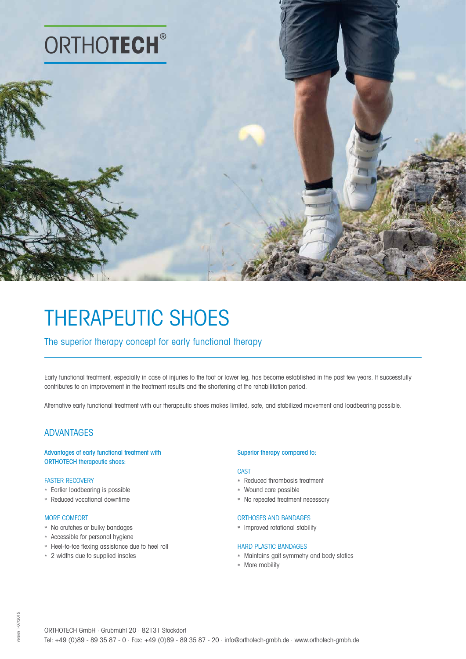

# THERAPEUTIC SHOES

# The superior therapy concept for early functional therapy

Early functional treatment, especially in case of injuries to the foot or lower leg, has become established in the past few years. It successfully contributes to an improvement in the treatment results and the shortening of the rehabilitation period.

Alternative early functional treatment with our therapeutic shoes makes limited, safe, and stabilized movement and loadbearing possible.

# ADVANTAGES

Advantages of early functional treatment with ORTHOTECH therapeutic shoes:

## FASTER RECOVERY

- \* Earlier loadbearing is possible
- \* Reduced vocational downtime

## MORE COMFORT

- \* No crutches or bulky bandages
- \* Accessible for personal hygiene
- \* Heel-to-toe flexing assistance due to heel roll
- \* 2 widths due to supplied insoles

#### Superior therapy compared to:

#### **CAST**

- \* Reduced thrombosis treatment
- \* Wound care possible
- \* No repeated treatment necessary

## ORTHOSES AND BANDAGES

\* Improved rotational stability

## HARD PLASTIC BANDAGES

- \* Maintains gait symmetry and body statics
- \* More mobility